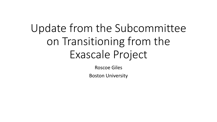# Update from the Subcommittee on Transitioning from the Exascale Project

Roscoe Giles

Boston University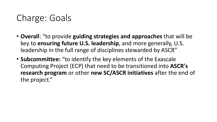### Charge: Goals

- **Overall**: "to provide **guiding strategies and approaches** that will be key to **ensuring future U.S. leadership**, and more generally, U.S. leadership in the full range of disciplines stewarded by ASCR"
- **Subcommittee:** "to identify the key elements of the Exascale Computing Project (ECP) that need to be transitioned into **ASCR's research program** or other **new SC/ASCR initiatives** after the end of the project."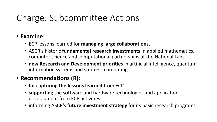## Charge: Subcommittee Actions

#### • **Examine**:

- ECP lessons learned for **managing large collaborations**,
- ASCR's historic **fundamental research investments** in applied mathematics, computer science and computational partnerships at the National Labs,
- **new Research and Development priorities** in artificial intelligence, quantum information systems and strategic computing.

#### • **Recommendations (R):**

- for **capturing the lessons learned** from ECP
- **supporting** the software and hardware technologies and application development from ECP activities
- informing ASCR's **future investment strategy** for its basic research programs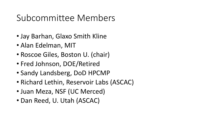### Subcommittee Members

- Jay Barhan, Glaxo Smith Kline
- Alan Edelman, MIT
- Roscoe Giles, Boston U. (chair)
- Fred Johnson, DOE/Retired
- Sandy Landsberg, DoD HPCMP
- Richard Lethin, Reservoir Labs (ASCAC)
- Juan Meza, NSF (UC Merced)
- Dan Reed, U. Utah (ASCAC)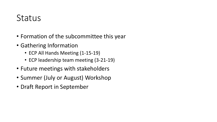### **Status**

- Formation of the subcommittee this year
- Gathering Information
	- ECP All Hands Meeting (1-15-19)
	- ECP leadership team meeting (3-21-19)
- Future meetings with stakeholders
- Summer (July or August) Workshop
- Draft Report in September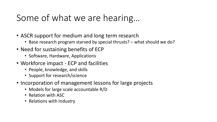### Some of what we are hearing…

- ASCR support for medium and long term research
	- Base research program starved by special thrusts? what should we do?
- Need for sustaining benefits of ECP
	- Software, Hardware, Applications
- Workforce impact ECP and facilities
	- People, knowledge, and skills
	- Support for research/science
- Incorporation of management lessons for large projects
	- Models for large scale accountable R/D
	- Relation with ASC
	- Relations with Industry